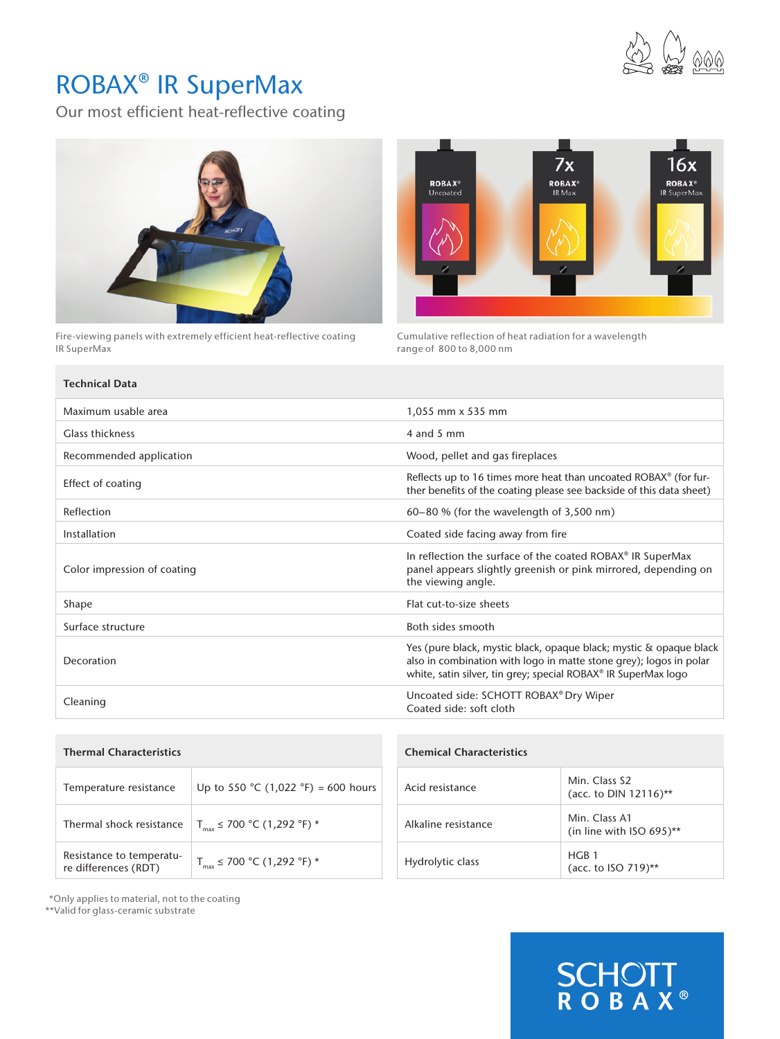

## ROBAX® IR SuperMax

Our most efficient heat-reflective coating



Fire-viewing panels with extremely efficient heat-reflective coating IR SuperMax



**SCHOTT**<br>ROBAX®

Cumulative reflection of heat radiation for a wavelength range of 800 to 8,000 nm

| <b>Technical Data</b>       |                                                                                                                                                                                                            |  |
|-----------------------------|------------------------------------------------------------------------------------------------------------------------------------------------------------------------------------------------------------|--|
| Maximum usable area         | 1,055 mm x 535 mm                                                                                                                                                                                          |  |
| Glass thickness             | 4 and 5 mm                                                                                                                                                                                                 |  |
| Recommended application     | Wood, pellet and gas fireplaces                                                                                                                                                                            |  |
| Effect of coating           | Reflects up to 16 times more heat than uncoated ROBAX <sup>®</sup> (for fur-<br>ther benefits of the coating please see backside of this data sheet)                                                       |  |
| Reflection                  | $60-80$ % (for the wavelength of 3,500 nm)                                                                                                                                                                 |  |
| Installation                | Coated side facing away from fire                                                                                                                                                                          |  |
| Color impression of coating | In reflection the surface of the coated ROBAX® IR SuperMax<br>panel appears slightly greenish or pink mirrored, depending on<br>the viewing angle.                                                         |  |
| Shape                       | Flat cut-to-size sheets                                                                                                                                                                                    |  |
| Surface structure           | Both sides smooth                                                                                                                                                                                          |  |
| Decoration                  | Yes (pure black, mystic black, opaque black; mystic & opaque black<br>also in combination with logo in matte stone grey); logos in polar<br>white, satin silver, tin grey; special ROBAX® IR SuperMax logo |  |
| Cleaning                    | Uncoated side: SCHOTT ROBAX® Dry Wiper<br>Coated side: soft cloth                                                                                                                                          |  |

| <b>Thermal Characteristics</b>                   |                                        | <b>Chemical Characteristics</b> |                                              |
|--------------------------------------------------|----------------------------------------|---------------------------------|----------------------------------------------|
| Temperature resistance                           | Up to 550 °C (1,022 °F) = 600 hours    | Acid resistance                 | Min. Class S2<br>(acc. to DIN 12116)**       |
| Thermal shock resistance                         | $T_{\text{max}}$ ≤ 700 °C (1,292 °F) * | Alkaline resistance             | Min. Class A1<br>(in line with ISO $695$ )** |
| Resistance to temperatu-<br>re differences (RDT) | $T_{max}$ ≤ 700 °C (1,292 °F) *        | Hydrolytic class                | HGB 1<br>(acc. to ISO 719)**                 |

\*Only applies to material, not to the coating

\*\*Valid for glass-ceramic substrate